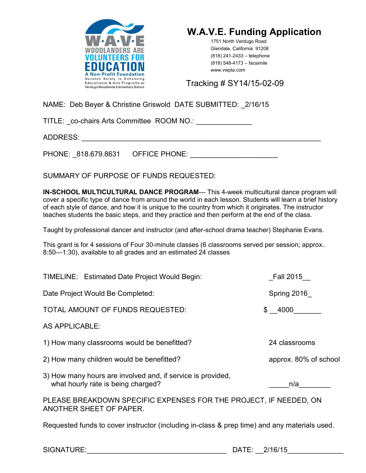



1751 North Verdugo Road Glendale, California 91208 (818) 241-2433 – telephone (818) 548-4173 – facsimile www.vwpta.com

Tracking # SY14/15-02-09

NAME: Deb Beyer & Christine Griswold DATE SUBMITTED: \_2/16/15

TITLE: \_co-chairs Arts Committee ROOM NO.: \_\_\_\_\_\_\_\_\_\_\_\_\_\_

ADDRESS: \_\_\_\_\_\_\_\_\_\_\_\_\_\_\_\_\_\_\_\_\_\_\_\_\_\_\_\_\_\_\_\_\_\_\_\_\_\_\_\_\_\_\_\_\_\_\_\_\_\_\_\_\_\_\_\_\_\_\_\_

PHONE: 818.679.8631 OFFICE PHONE: **EXAMPLE** 

SUMMARY OF PURPOSE OF FUNDS REQUESTED:

**IN-SCHOOL MULTICULTURAL DANCE PROGRAM---** This 4-week multicultural dance program will cover a specific type of dance from around the world in each lesson. Students will learn a brief history of each style of dance, and how it is unique to the country from which it originates. The instructor teaches students the basic steps, and they practice and then perform at the end of the class.

Taught by professional dancer and instructor (and after-school drama teacher) Stephanie Evans.

This grant is for 4 sessions of Four 30-minute classes (6 classrooms served per session; approx.. 8:50—1:30), available to all grades and an estimated 24 classes

| Fall 2015                                                                                    |  |
|----------------------------------------------------------------------------------------------|--|
| Spring 2016                                                                                  |  |
| \$ 4000                                                                                      |  |
|                                                                                              |  |
| 24 classrooms                                                                                |  |
| approx. 80% of school                                                                        |  |
| n/a                                                                                          |  |
| PLEASE BREAKDOWN SPECIFIC EXPENSES FOR THE PROJECT, IF NEEDED, ON<br>ANOTHER SHEET OF PAPER. |  |
|                                                                                              |  |

Requested funds to cover instructor (including in-class & prep time) and any materials used.